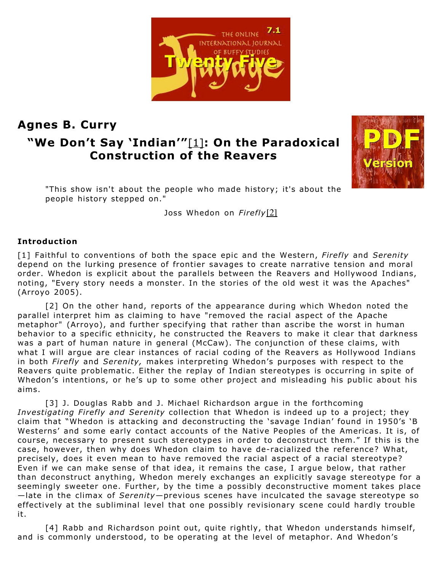THE ONLINE INTERNATIONAL IOURNAL OF BUFFY STUDIES

# **Agnes B. Curry "We Don't Say 'Indian'"**[\[1\]](http://slayageonline.com/essays/slayage25/Curry.htm#_edn1)**: On the Paradoxical Construction of the Reavers**



"This show isn't about the people who made history; it's about the people history stepped on."

Joss Whedon on *Firefly*[\[2\]](http://slayageonline.com/essays/slayage25/Curry.htm#_edn2)

#### **Introduction**

[1] Faithful to conventions of both the space epic and the Western, *Firefly* and *Serenity* depend on the lurking presence of frontier savages to create narrative tension and moral order. Whedon is explicit about the parallels between the Reavers and Hollywood Indians, noting, "Every story needs a monster. In the stories of the old west it was the Apaches" (Arroyo 2005).

[2] On the other hand, reports of the appearance during which Whedon noted the parallel interpret him as claiming to have "removed the racial aspect of the Apache metaphor" (Arroyo), and further specifying that rather than ascribe the worst in human behavior to a specific ethnicity, he constructed the Reavers to make it clear that darkness was a part of human nature in general (McCaw). The conjunction of these claims, with what I will argue are clear instances of racial coding of the Reavers as Hollywood Indians in both *Firefly* and *Serenity,* makes interpreting Whedon's purposes with respect to the Reavers quite problematic. Either the replay of Indian stereotypes is occurring in spite of Whedon's intentions, or he's up to some other project and misleading his public about his aims.

[3] J. Douglas Rabb and J. Michael Richardson argue in the forthcoming *Investigating Firefly and Serenity* collection that Whedon is indeed up to a project; they claim that "Whedon is attacking and deconstructing the 'savage Indian' found in 1950's 'B Westerns' and some early contact accounts of the Native Peoples of the Americas. It is, of course, necessary to present such stereotypes in order to deconstruct them." If this is the case, however, then why does Whedon claim to have de-racialized the reference? What, precisely, does it even mean to have removed the racial aspect of a racial stereotype? Even if we can make sense of that idea, it remains the case, I argue below, that rather than deconstruct anything, Whedon merely exchanges an explicitly savage stereotype for a seemingly sweeter one. Further, by the time a possibly deconstructive moment takes place —late in the climax of *Serenity*—previous scenes have inculcated the savage stereotype so effectively at the subliminal level that one possibly revisionary scene could hardly trouble it.

[4] Rabb and Richardson point out, quite rightly, that Whedon understands himself, and is commonly understood, to be operating at the level of metaphor. And Whedon's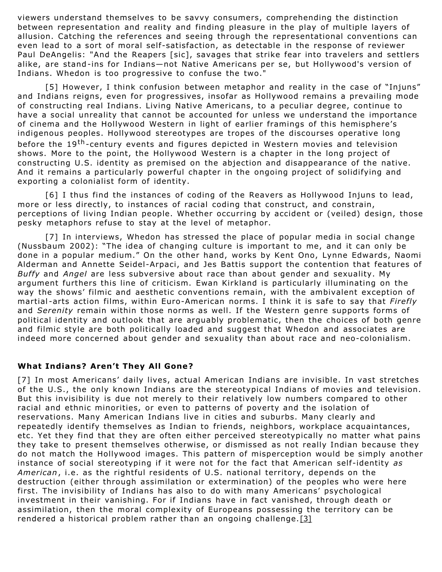viewers understand themselves to be savvy consumers, comprehending the distinction between representation and reality and finding pleasure in the play of multiple layers of allusion. Catching the references and seeing through the representational conventions can even lead to a sort of moral self-satisfaction, as detectable in the response of reviewer Paul DeAngelis: "And the Reapers [sic], savages that strike fear into travelers and settlers alike, are stand-ins for Indians—not Native Americans per se, but Hollywood's version of Indians. Whedon is too progressive to confuse the two."

[5] However, I think confusion between metaphor and reality in the case of "Injuns" and Indians reigns, even for progressives, insofar as Hollywood remains a prevailing mode of constructing real Indians. Living Native Americans, to a peculiar degree, continue to have a social unreality that cannot be accounted for unless we understand the importance of cinema and the Hollywood Western in light of earlier framings of this hemisphere's indigenous peoples. Hollywood stereotypes are tropes of the discourses operative long before the 19<sup>th</sup>-century events and figures depicted in Western movies and television shows. More to the point, the Hollywood Western is a chapter in the long project of constructing U.S. identity as premised on the abjection and disappearance of the native. And it remains a particularly powerful chapter in the ongoing project of solidifying and exporting a colonialist form of identity.

[6] I thus find the instances of coding of the Reavers as Hollywood Injuns to lead, more or less directly, to instances of racial coding that construct, and constrain, perceptions of living Indian people. Whether occurring by accident or (veiled) design, those pesky metaphors refuse to stay at the level of metaphor.

[7] In interviews, Whedon has stressed the place of popular media in social change (Nussbaum 2002): "The idea of changing culture is important to me, and it can only be done in a popular medium." On the other hand, works by Kent Ono, Lynne Edwards, Naomi Alderman and Annette Seidel-Arpaci, and Jes Battis support the contention that features of *Buffy* and *Angel* are less subversive about race than about gender and sexuality. My argument furthers this line of criticism. Ewan Kirkland is particularly illuminating on the way the shows' filmic and aesthetic conventions remain, with the ambivalent exception of martial -arts action films, within Euro-American norms. I think it is safe to say that *Firefly* and *Serenity* remain within those norms as well. If the Western genre supports forms of political identity and outlook that are arguably problematic, then the choices of both genre and filmic style are both politically loaded and suggest that Whedon and associates are indeed more concerned about gender and sexuality than about race and neo-colonialism.

#### **What Indians? Aren't They All Gone?**

[7] In most Americans' daily lives, actual American Indians are invisible. In vast stretches of the U.S., the only known Indians are the stereotypical Indians of movies and television. But this invisibility is due not merely to their relatively low numbers compared to other racial and ethnic minorities, or even to patterns of poverty and the isolation of reservations. Many American Indians live in cities and suburbs. Many clearly and repeatedly identify themselves as Indian to friends, neighbors, workplace acquaintances, etc. Yet they find that they are often either perceived stereotypically no matter what pains they take to present themselves otherwise, or dismissed as not really Indian because they do not match the Hollywood images. This pattern of misperception would be simply another instance of social stereotyping if it were not for the fact that American self-identity *as American*, i.e. as the rightful residents of U.S. national territory, depends on the destruction (either through assimilation or extermination) of the peoples who were here first. The invisibility of Indians has also to do with many Americans' psychological investment in their vanishing. For if Indians have in fact vanished, through death or assimilation, then the moral complexity of Europeans possessing the territory can be rendered a historical problem rather than an ongoing challenge.  $[3]$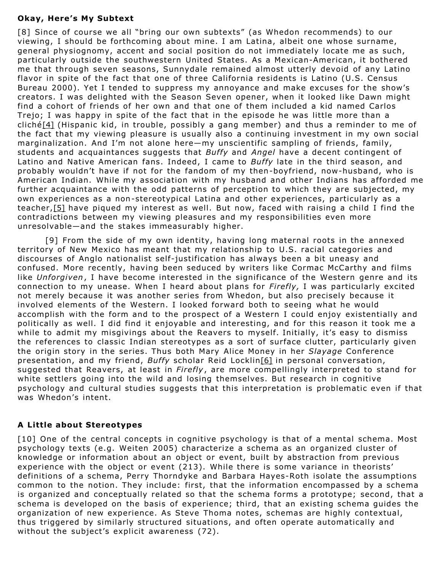#### **Okay, Here's My Subtext**

[8] Since of course we all "bring our own subtexts" (as Whedon recommends) to our viewing, I should be forthcoming about mine. I am Latina, albeit one whose surname, general physiognomy, accent and social position do not immediately locate me as such, particularly outside the southwestern United States. As a Mexican-American, it bothered me that through seven seasons, Sunnydale remained almost utterly devoid of any Latino flavor in spite of the fact that one of three California residents is Latino (U.S. Census Bureau 2000). Yet I tended to suppress my annoyance and make excuses for the show's creators. I was delighted with the Season Seven opener, when it looked like Dawn might find a cohort of friends of her own and that one of them included a kid named Carlos Trejo; I was happy in spite of the fact that in the episode he was little more than a cliché[\[4\]](http://slayageonline.com/essays/slayage25/Curry.htm#_edn4) (Hispanic kid, in trouble, possibly a gang member) and thus a reminder to me of the fact that my viewing pleasure is usually also a continuing investment in my own social marginalization. And I'm not alone here—my unscientific sampling of friends, family, students and acquaintances suggests that *Buffy* and *Angel* have a decent contingent of Latino and Native American fans. Indeed, I came to *Buffy* late in the third season, and probably wouldn't have if not for the fandom of my then-boyfriend, now-husband, who is American Indian. While my association with my husband and other Indians has afforded me further acquaintance with the odd patterns of perception to which they are subjected, my own experiences as a non-stereotypical Latina and other experiences, particularly as a teacher,[\[5\]](http://slayageonline.com/essays/slayage25/Curry.htm#_edn5) have piqued my interest as well. But now, faced with raising a child I find the contradictions between my viewing pleasures and my responsibilities even more unresolvable—and the stakes immeasurably higher.

[9] From the side of my own identity, having long maternal roots in the annexed territory of New Mexico has meant that my relationship to U.S. racial categories and discourses of Anglo nationalist self-justification has always been a bit uneasy and confused. More recently, having been seduced by writers like Cormac McCarthy and films like *Unforgiven*, I have become interested in the significance of the Western genre and its connection to my unease. When I heard about plans for *Firefly,* I was particularly excited not merely because it was another series from Whedon, but also precisely because it involved elements of the Western. I looked forward both to seeing what he would accomplish with the form and to the prospect of a Western I could enjoy existentially and politically as well. I did find it enjoyable and interesting, and for this reason it took me a while to admit my misgivings about the Reavers to myself. Initially, it's easy to dismiss the references to classic Indian stereotypes as a sort of surface clutter, particularly given the origin story in the series. Thus both Mary Alice Money in her *Slayage* Conference presentation, and my friend, *Buffy* scholar Reid Locklin[\[6\]](http://slayageonline.com/essays/slayage25/Curry.htm#_edn6) in personal conversation, suggested that Reavers, at least in *Firefly*, are more compellingly interpreted to stand for white settlers going into the wild and losing themselves. But research in cognitive psychology and cultural studies suggests that this interpretation is problematic even if that was Whedon's intent.

#### **A Little about Stereotypes**

[10] One of the central concepts in cognitive psychology is that of a mental schema. Most psychology texts (e.g. Weiten 2005) characterize a schema as an organized cluster of knowledge or information about an object or event, built by abstraction from previous experience with the object or event (213). While there is some variance in theorists' definitions of a schema, Perry Thorndyke and Barbara Hayes-Roth isolate the assumptions common to the notion. They include: first, that the information encompassed by a schema is organized and conceptually related so that the schema forms a prototype; second, that a schema is developed on the basis of experience; third, that an existing schema guides the organization of new experience. As Steve Thoma notes, schemas are highly contextual, thus triggered by similarly structured situations, and often operate automatically and without the subject's explicit awareness (72).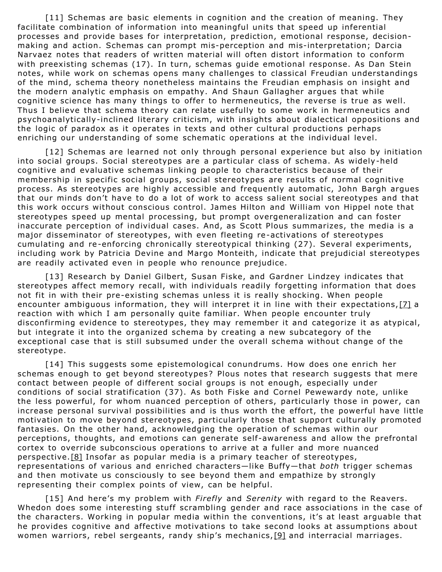[11] Schemas are basic elements in cognition and the creation of meaning. They facilitate combination of information into meaningful units that speed up inferential processes and provide bases for interpretation, prediction, emotional response, decisionmaking and action. Schemas can prompt mis-perception and mis-interpretation; Darcia Narvaez notes that readers of written material will often distort information to conform with preexisting schemas (17). In turn, schemas guide emotional response. As Dan Stein notes, while work on schemas opens many challenges to classical Freudian understandings of the mind, schema theory nonetheless maintains the Freudian emphasis on insight and the modern analytic emphasis on empathy. And Shaun Gallagher argues that while cognitive science has many things to offer to hermeneutics, the reverse is true as well. Thus I believe that schema theory can relate usefully to some work in hermeneutics and psychoanalytically-inclined literary criticism, with insights about dialectical oppositions and the logic of paradox as it operates in texts and other cultural productions perhaps enriching our understanding of some schematic operations at the individual level.

[12] Schemas are learned not only through personal experience but also by initiation into social groups. Social stereotypes are a particular class of schema. As widely-held cognitive and evaluative schemas linking people to characteristics because of their membership in specific social groups, social stereotypes are results of normal cognitive process. As stereotypes are highly accessible and frequently automatic, John Bargh argues that our minds don't have to do a lot of work to access salient social stereotypes and that this work occurs without conscious control. James Hilton and William von Hippel note that stereotypes speed up mental processing, but prompt overgeneralization and can foster inaccurate perception of individual cases. And, as Scott Plous summarizes, the media is a major disseminator of stereotypes, with even fleeting re-activations of stereotypes cumulating and re-enforcing chronically stereotypical thinking (27). Several experiments, including work by Patricia Devine and Margo Monteith, indicate that prejudicial stereotypes are readily activated even in people who renounce prejudice.

[13] Research by Daniel Gilbert, Susan Fiske, and Gardner Lindzey indicates that stereotypes affect memory recall, with individuals readily forgetting information that does not fit in with their pre-existing schemas unless it is really shocking. When people encounter ambiguous information, they will interpret it in line with their expectations, [\[7\]](http://slayageonline.com/essays/slayage25/Curry.htm#_edn7) a reaction with which I am personally quite familiar. When people encounter truly disconfirming evidence to stereotypes, they may remember it and categorize it as atypical, but integrate it into the organized schema by creating a new subcategory of the exceptional case that is still subsumed under the overall schema without change of the stereotype.

[14] This suggests some epistemological conundrums. How does one enrich her schemas enough to get beyond stereotypes? Plous notes that research suggests that mere contact between people of different social groups is not enough, especially under conditions of social stratification (37). As both Fiske and Cornel Pewewardy note, unlike the less powerful, for whom nuanced perception of others, particularly those in power, can increase personal survival possibilities and is thus worth the effort, the powerful have little motivation to move beyond stereotypes, particularly those that support culturally promoted fantasies. On the other hand, acknowledging the operation of schemas within our perceptions, thoughts, and emotions can generate self-awareness and allow the prefrontal cortex to override subconscious operations to arrive at a fuller and more nuanced perspective.<sup>[\[8\]](http://slayageonline.com/essays/slayage25/Curry.htm#_edn8)</sup> Insofar as popular media is a primary teacher of stereotypes, representations of various and enriched characters—like Buffy—that *both* trigger schemas and then motivate us consciously to see beyond them and empathize by strongly representing their complex points of view, can be helpful.

[15] And here's my problem with *Firefly* and *Serenity* with regard to the Reavers. Whedon does some interesting stuff scrambling gender and race associations in the case of the characters. Working in popular media within the conventions, it's at least arguable that he provides cognitive and affective motivations to take second looks at assumptions about women warriors, rebel sergeants, randy ship's mechanics, [\[9\]](http://slayageonline.com/essays/slayage25/Curry.htm#_edn9) and interracial marriages.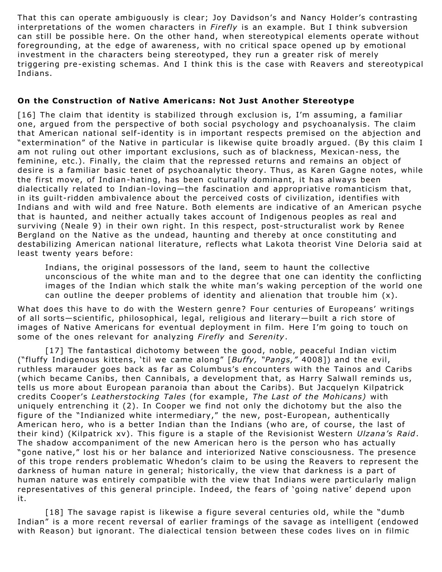That this can operate ambiguously is clear; Joy Davidson's and Nancy Holder's contrasting interpretations of the women characters in *Firefly* is an example. But I think subversion can still be possible here. On the other hand, when stereotypical elements operate without foregrounding, at the edge of awareness, with no critical space opened up by emotional investment in the characters being stereotyped, they run a greater risk of merely triggering pre-existing schemas. And I think this is the case with Reavers and stereotypical Indians.

### **On the Construction of Native Americans: Not Just Another Stereotype**

[16] The claim that identity is stabilized through exclusion is, I'm assuming, a familiar one, argued from the perspective of both social psychology and psychoanalysis. The claim that American national self-identity is in important respects premised on the abjection and "extermination" of the Native in particular is likewise quite broadly argued. (By this claim I am not ruling out other important exclusions, such as of blackness, Mexican-ness, the feminine, etc.). Finally, the claim that the repressed returns and remains an object of desire is a familiar basic tenet of psychoanalytic theory. Thus, as Karen Gagne notes, while the first move, of Indian-hating, has been culturally dominant, it has always been dialectically related to Indian-loving—the fascination and appropriative romanticism that, in its guilt-ridden ambivalence about the perceived costs of civilization, identifies with Indians and with wild and free Nature. Both elements are indicative of an American psyche that is haunted, and neither actually takes account of Indigenous peoples as real and surviving (Neale 9) in their own right. In this respect, post-structuralist work by Renee Bergland on the Native as the undead, haunting and thereby at once constituting and destabilizing American national literature, reflects what Lakota theorist Vine Deloria said at least twenty years before:

Indians, the original possessors of the land, seem to haunt the collective unconscious of the white man and to the degree that one can identity the conflicting images of the Indian which stalk the white man's waking perception of the world one can outline the deeper problems of identity and alienation that trouble him  $(x)$ .

What does this have to do with the Western genre? Four centuries of Europeans' writings of all sorts—scientific, philosophical, legal, religious and literary—built a rich store of images of Native Americans for eventual deployment in film. Here I'm going to touch on some of the ones relevant for analyzing *Firefly* and *Serenity*.

[17] The fantastical dichotomy between the good, noble, peaceful Indian victim ("fluffy Indigenous kittens, 'til we came along" [*Buffy, "Pangs,"* 4008]) and the evil, ruthless marauder goes back as far as Columbus's encounters with the Tainos and Caribs (which became Canibs, then Cannibals, a development that, as Harry Salwall reminds us, tells us more about European paranoia than about the Caribs). But Jacquelyn Kilpatrick credits Cooper's *Leatherstocking Tales* (for example, *The Last of the Mohicans)* with uniquely entrenching it (2). In Cooper we find not only the dichotomy but the also the figure of the "Indianized white intermediary," the new, post-European, authentically American hero, who is a better Indian than the Indians (who are, of course, the last of their kind) (Kilpatrick xv). This figure is a staple of the Revisionist Western *Ulzana's Raid*. The shadow accompaniment of the new American hero is the person who has actually "gone native," lost his or her balance and interiorized Native consciousness. The presence of this trope renders problematic Whedon's claim to be using the Reavers to represent the darkness of human nature in general; historically, the view that darkness is a part of human nature was entirely compatible with the view that Indians were particularly malign representatives of this general principle. Indeed, the fears of 'going native' depend upon it.

[18] The savage rapist is likewise a figure several centuries old, while the "dumb Indian" is a more recent reversal of earlier framings of the savage as intelligent (endowed with Reason) but ignorant. The dialectical tension between these codes lives on in filmic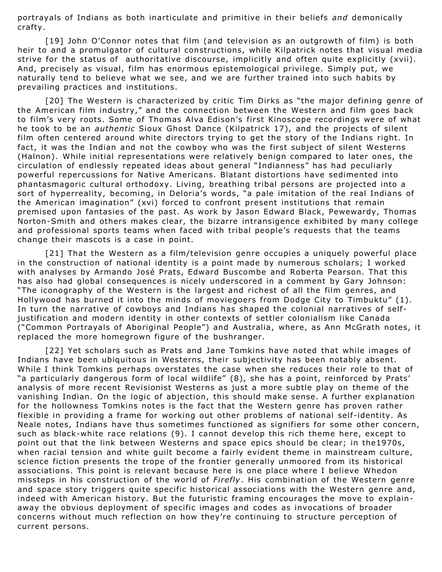portrayals of Indians as both inarticulate and primitive in their beliefs *and* demonically crafty.

[19] John O'Connor notes that film (and television as an outgrowth of film) is both heir to and a promulgator of cultural constructions, while Kilpatrick notes that visual media strive for the status of authoritative discourse, implicitly and often quite explicitly (xvii). And, precisely as visual, film has enormous epistemological privilege. Simply put, we naturally tend to believe what we see, and we are further trained into such habits by prevailing practices and institutions.

[20] The Western is characterized by critic Tim Dirks as "the major defining genre of the American film industry," and the connection between the Western and film goes back to film's very roots. Some of Thomas Alva Edison's first Kinoscope recordings were of what he took to be an *authentic* Sioux Ghost Dance (Kilpatrick 17), and the projects of silent film often centered around white directors trying to get the story of the Indians right. In fact, it was the Indian and not the cowboy who was the first subject of silent Westerns (Halnon). While initial representations were relatively benign compared to later ones, the circulation of endlessly repeated ideas about general "Indianness" has had peculiarly powerful repercussions for Native Americans. Blatant distortions have sedimented into phantasmagoric cultural orthodoxy. Living, breathing tribal persons are projected into a sort of hyperreality, becoming, in Deloria's words, "a pale imitation of the real Indians of the American imagination" (xvi) forced to confront present institutions that remain premised upon fantasies of the past. As work by Jason Edward Black, Pewewardy, Thomas Norton-Smith and others makes clear, the bizarre intransigence exhibited by many college and professional sports teams when faced with tribal people's requests that the teams change their mascots is a case in point.

[21] That the Western as a film/television genre occupies a uniquely powerful place in the construction of national identity is a point made by numerous scholars; I worked with analyses by Armando José Prats, Edward Buscombe and Roberta Pearson. That this has also had global consequences is nicely underscored in a comment by Gary Johnson: "The iconography of the Western is the largest and richest of all the film genres, and Hollywood has burned it into the minds of moviegoers from Dodge City to Timbuktu" (1). In turn the narrative of cowboys and Indians has shaped the colonial narratives of selfjustification and modern identity in other contexts of settler colonialism like Canada ("Common Portrayals of Aboriginal People") and Australia, where, as Ann McGrath notes, it replaced the more homegrown figure of the bushranger.

[22] Yet scholars such as Prats and Jane Tomkins have noted that while images of Indians have been ubiquitous in Westerns, their subjectivity has been notably absent. While I think Tomkins perhaps overstates the case when she reduces their role to that of "a particularly dangerous form of local wildlife" (8), she has a point, reinforced by Prats' analysis of more recent Revisionist Westerns as just a more subtle play on theme of the vanishing Indian. On the logic of abjection, this should make sense. A further explanation for the hollowness Tomkins notes is the fact that the Western genre has proven rather flexible in providing a frame for working out other problems of national self-identity. As Neale notes, Indians have thus sometimes functioned as signifiers for some other concern, such as black-white race relations (9). I cannot develop this rich theme here, except to point out that the link between Westerns and space epics should be clear; in the1970s, when racial tension and white guilt become a fairly evident theme in mainstream culture, science fiction presents the trope of the frontier generally unmoored from its historical associations. This point is relevant because here is one place where I believe Whedon missteps in his construction of the world of *Firefly*. His combination of the Western genre and space story triggers quite specific historical associations with the Western genre and, indeed with American history. But the futuristic framing encourages the move to explainaway the obvious deployment of specific images and codes as invocations of broader concerns without much reflection on how they're continuing to structure perception of current persons.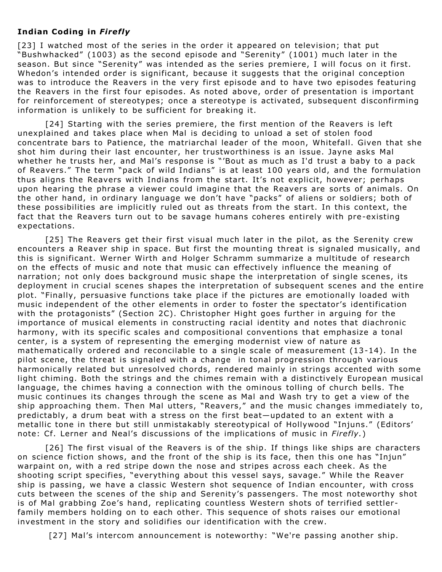#### **Indian Coding in** *Firefly*

[23] I watched most of the series in the order it appeared on television; that put "Bushwhacked" (1003) as the second episode and "Serenity" (1001) much later in the season. But since "Serenity" was intended as the series premiere, I will focus on it first. Whedon's intended order is significant, because it suggests that the original conception was to introduce the Reavers in the very first episode and to have two episodes featuring the Reavers in the first four episodes. As noted above, order of presentation is important for reinforcement of stereotypes; once a stereotype is activated, subsequent disconfirming information is unlikely to be sufficient for breaking it.

[24] Starting with the series premiere, the first mention of the Reavers is left unexplained and takes place when Mal is deciding to unload a set of stolen food concentrate bars to Patience, the matriarchal leader of the moon, Whitefall. Given that she shot him during their last encounter, her trustworthiness is an issue. Jayne asks Mal whether he trusts her, and Mal's response is "'Bout as much as I'd trust a baby to a pack of Reavers." The term "pack of wild Indians" is at least 100 years old, and the formulation thus aligns the Reavers with Indians from the start. It's not explicit, however; perhaps upon hearing the phrase a viewer could imagine that the Reavers are sorts of animals. On the other hand, in ordinary language we don't have "packs" of aliens or soldiers; both of these possibilities are implicitly ruled out as threats from the start. In this context, the fact that the Reavers turn out to be savage humans coheres entirely with pre-existing expectations.

[25] The Reavers get their first visual much later in the pilot, as the Serenity crew encounters a Reaver ship in space. But first the mounting threat is signaled musically, and this is significant. Werner Wirth and Holger Schramm summarize a multitude of research on the effects of music and note that music can effectively influence the meaning of narration; not only does background music shape the interpretation of single scenes, its deployment in crucial scenes shapes the interpretation of subsequent scenes and the entire plot. "Finally, persuasive functions take place if the pictures are emotionally loaded with music independent of the other elements in order to foster the spectator's identification with the protagonists" (Section 2C). Christopher Hight goes further in arguing for the importance of musical elements in constructing racial identity and notes that diachronic harmony, with its specific scales and compositional conventions that emphasize a tonal center, is a system of representing the emerging modernist view of nature as mathematically ordered and reconcilable to a single scale of measurement (13-14). In the pilot scene, the threat is signaled with a change in tonal progression through various harmonically related but unresolved chords, rendered mainly in strings accented with some light chiming. Both the strings and the chimes remain with a distinctively European musical language, the chimes having a connection with the ominous tolling of church bells. The music continues its changes through the scene as Mal and Wash try to get a view of the ship approaching them. Then Mal utters, "Reavers," and the music changes immediately to, predictably, a drum beat with a stress on the first beat—updated to an extent with a metallic tone in there but still unmistakably stereotypical of Hollywood "Injuns." (Editors' note: Cf. Lerner and Neal's discussions of the implications of music in *Firefly.*)

[26] The first visual of the Reavers is of the ship. If things like ships are characters on science fiction shows, and the front of the ship is its face, then this one has "Injun" warpaint on, with a red stripe down the nose and stripes across each cheek. As the shooting script specifies, "everything about this vessel says, savage." While the Reaver ship is passing, we have a classic Western shot sequence of Indian encounter, with cross cuts between the scenes of the ship and Serenity's passengers. The most noteworthy shot is of Mal grabbing Zoe's hand, replicating countless Western shots of terrified settlerfamily members holding on to each other. This sequence of shots raises our emotional investment in the story and solidifies our identification with the crew.

[27] Mal's intercom announcement is noteworthy: "We're passing another ship.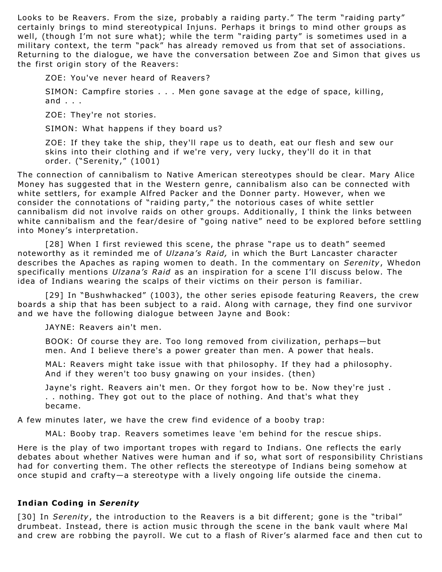Looks to be Reavers. From the size, probably a raiding party." The term "raiding party" certainly brings to mind stereotypical Injuns. Perhaps it brings to mind other groups as well, (though I'm not sure what); while the term "raiding party" is sometimes used in a military context, the term "pack" has already removed us from that set of associations. Returning to the dialogue, we have the conversation between Zoe and Simon that gives us the first origin story of the Reavers:

ZOE: You've never heard of Reavers?

SIMON: Campfire stories . . . Men gone savage at the edge of space, killing, and . . .

ZOE: They're not stories.

SIMON: What happens if they board us?

ZOE: If they take the ship, they'll rape us to death, eat our flesh and sew our skins into their clothing and if we're very, very lucky, they'll do it in that order. ("Serenity," (1001)

The connection of cannibalism to Native American stereotypes should be clear. Mary Alice Money has suggested that in the Western genre, cannibalism also can be connected with white settlers, for example Alfred Packer and the Donner party. However, when we consider the connotations of "raiding party," the notorious cases of white settler cannibalism did not involve raids on other groups. Additionally, I think the links between white cannibalism and the fear/desire of "going native" need to be explored before settling into Money's interpretation.

[28] When I first reviewed this scene, the phrase "rape us to death" seemed noteworthy as it reminded me of *Ulzana's Raid,* in which the Burt Lancaster character describes the Apaches as raping women to death. In the commentary on *Serenity*, Whedon specifically mentions *Ulzana's Raid* as an inspiration for a scene I'll discuss below. The idea of Indians wearing the scalps of their victims on their person is familiar.

[29] In "Bushwhacked" (1003), the other series episode featuring Reavers, the crew boards a ship that has been subject to a raid. Along with carnage, they find one survivor and we have the following dialogue between Jayne and Book:

JAYNE: Reavers ain't men.

BOOK: Of course they are. Too long removed from civilization, perhaps—but men. And I believe there's a power greater than men. A power that heals.

MAL: Reavers might take issue with that philosophy. If they had a philosophy. And if they weren't too busy gnawing on your insides. (then)

Jayne's right. Reavers ain't men. Or they forgot how to be. Now they're just . . . nothing. They got out to the place of nothing. And that's what they became.

A few minutes later, we have the crew find evidence of a booby trap:

MAL: Booby trap. Reavers sometimes leave 'em behind for the rescue ships.

Here is the play of two important tropes with regard to Indians. One reflects the early debates about whether Natives were human and if so, what sort of responsibility Christians had for converting them. The other reflects the stereotype of Indians being somehow at once stupid and crafty—a stereotype with a lively ongoing life outside the cinema.

#### **Indian Coding in** *Serenity*

[30] In *Serenity*, the introduction to the Reavers is a bit different; gone is the "tribal" drumbeat. Instead, there is action music through the scene in the bank vault where Mal and crew are robbing the payroll. We cut to a flash of River's alarmed face and then cut to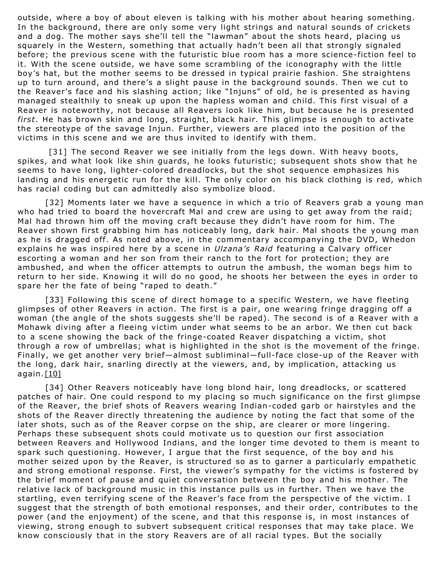outside, where a boy of about eleven is talking with his mother about hearing something. In the background, there are only some very light strings and natural sounds of crickets and a dog. The mother says she'll tell the "lawman" about the shots heard, placing us squarely in the Western, something that actually hadn't been all that strongly signaled before; the previous scene with the futuristic blue room has a more science-fiction feel to it. With the scene outside, we have some scrambling of the iconography with the little boy's hat, but the mother seems to be dressed in typical prairie fashion. She straightens up to turn around, and there's a slight pause in the background sounds. Then we cut to the Reaver's face and his slashing action; like "Injuns" of old, he is presented as having managed stealthily to sneak up upon the hapless woman and child. This first visual of a Reaver is noteworthy, not because all Reavers look like him, but because he is presented *first*. He has brown skin and long, straight, black hair. This glimpse is enough to activate the stereotype of the savage Injun. Further, viewers are placed into the position of the victims in this scene and we are thus invited to identify with them.

[31] The second Reaver we see initially from the legs down. With heavy boots, spikes, and what look like shin guards, he looks futuristic; subsequent shots show that he seems to have long, lighter-colored dreadlocks, but the shot sequence emphasizes his landing and his energetic run for the kill. The only color on his black clothing is red, which has racial coding but can admittedly also symbolize blood.

[32] Moments later we have a sequence in which a trio of Reavers grab a young man who had tried to board the hovercraft Mal and crew are using to get away from the raid; Mal had thrown him off the moving craft because they didn't have room for him. The Reaver shown first grabbing him has noticeably long, dark hair. Mal shoots the young man as he is dragged off. As noted above, in the commentary accompanying the DVD, Whedon explains he was inspired here by a scene in *Ulzana's Raid* featuring a Calvary officer escorting a woman and her son from their ranch to the fort for protection; they are ambushed, and when the officer attempts to outrun the ambush, the woman begs him to return to her side. Knowing it will do no good, he shoots her between the eyes in order to spare her the fate of being "raped to death."

[33] Following this scene of direct homage to a specific Western, we have fleeting glimpses of other Reavers in action. The first is a pair, one wearing fringe dragging off a woman (the angle of the shots suggests she'll be raped). The second is of a Reaver with a Mohawk diving after a fleeing victim under what seems to be an arbor. We then cut back to a scene showing the back of the fringe-coated Reaver dispatching a victim, shot through a row of umbrellas; what is highlighted in the shot is the movement of the fringe. Finally, we get another very brief—almost subliminal—full-face close-up of the Reaver with the long, dark hair, snarling directly at the viewers, and, by implication, attacking us again. [\[10\]](http://slayageonline.com/essays/slayage25/Curry.htm#_edn10)

[34] Other Reavers noticeably have long blond hair, long dreadlocks, or scattered patches of hair. One could respond to my placing so much significance on the first glimpse of the Reaver, the brief shots of Reavers wearing Indian-coded garb or hairstyles and the shots of the Reaver directly threatening the audience by noting the fact that some of the later shots, such as of the Reaver corpse on the ship, are clearer or more lingering. Perhaps these subsequent shots could motivate us to question our first association between Reavers and Hollywood Indians, and the longer time devoted to them is meant to spark such questioning. However, I argue that the first sequence, of the boy and his mother seized upon by the Reaver, is structured so as to garner a particularly empathetic and strong emotional response. First, the viewer's sympathy for the victims is fostered by the brief moment of pause and quiet conversation between the boy and his mother. The relative lack of background music in this instance pulls us in further. Then we have the startling, even terrifying scene of the Reaver's face from the perspective of the victim. I suggest that the strength of both emotional responses, and their order, contributes to the power (and the enjoyment) of the scene, and that this response is, in most instances of viewing, strong enough to subvert subsequent critical responses that may take place. We know consciously that in the story Reavers are of all racial types. But the socially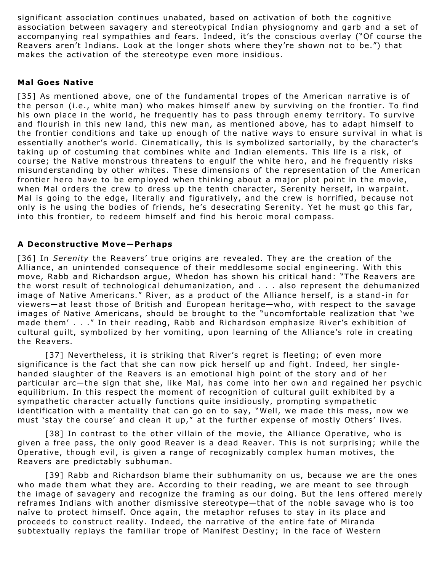significant association continues unabated, based on activation of both the cognitive association between savagery and stereotypical Indian physiognomy and garb and a set of accompanying real sympathies and fears. Indeed, it's the conscious overlay ("Of course the Reavers aren't Indians. Look at the longer shots where they're shown not to be.") that makes the activation of the stereotype even more insidious.

#### **Mal Goes Native**

[35] As mentioned above, one of the fundamental tropes of the American narrative is of the person (i.e., white man) who makes himself anew by surviving on the frontier. To find his own place in the world, he frequently has to pass through enemy territory. To survive and flourish in this new land, this new man, as mentioned above, has to adapt himself to the frontier conditions and take up enough of the native ways to ensure survival in what is essentially another's world. Cinematically, this is symbolized sartorially, by the character's taking up of costuming that combines white and Indian elements. This life is a risk, of course; the Native monstrous threatens to engulf the white hero, and he frequently risks misunderstanding by other whites. These dimensions of the representation of the American frontier hero have to be employed when thinking about a major plot point in the movie, when Mal orders the crew to dress up the tenth character, Serenity herself, in warpaint. Mal is going to the edge, literally and figuratively, and the crew is horrified, because not only is he using the bodies of friends, he's desecrating Serenity. Yet he must go this far, into this frontier, to redeem himself and find his heroic moral compass.

#### **A Deconstructive Move—Perhaps**

[36] In *Serenity* the Reavers' true origins are revealed. They are the creation of the Alliance, an unintended consequence of their meddlesome social engineering. With this move, Rabb and Richardson argue, Whedon has shown his critical hand: "The Reavers are the worst result of technological dehumanization, and . . . also represent the dehumanized image of Native Americans." River, as a product of the Alliance herself, is a stand-in for viewers—at least those of British and European heritage—who, with respect to the savage images of Native Americans, should be brought to the "uncomfortable realization that 'we made them' . . ." In their reading, Rabb and Richardson emphasize River's exhibition of cultural guilt, symbolized by her vomiting, upon learning of the Alliance's role in creating the Reavers.

[37] Nevertheless, it is striking that River's regret is fleeting; of even more significance is the fact that she can now pick herself up and fight. Indeed, her singlehanded slaughter of the Reavers is an emotional high point of the story and of her particular arc—the sign that she, like Mal, has come into her own and regained her psychic equilibrium. In this respect the moment of recognition of cultural guilt exhibited by a sympathetic character actually functions quite insidiously, prompting sympathetic identification with a mentality that can go on to say, "Well, we made this mess, now we must 'stay the course' and clean it up," at the further expense of mostly Others' lives.

[38] In contrast to the other villain of the movie, the Alliance Operative, who is given a free pass, the only good Reaver is a dead Reaver. This is not surprising; while the Operative, though evil, is given a range of recognizably complex human motives, the Reavers are predictably subhuman.

[39] Rabb and Richardson blame their subhumanity on us, because we are the ones who made them what they are. According to their reading, we are meant to see through the image of savagery and recognize the framing as our doing. But the lens offered merely reframes Indians with another dismissive stereotype—that of the noble savage who is too naïve to protect himself. Once again, the metaphor refuses to stay in its place and proceeds to construct reality. Indeed, the narrative of the entire fate of Miranda subtextually replays the familiar trope of Manifest Destiny; in the face of Western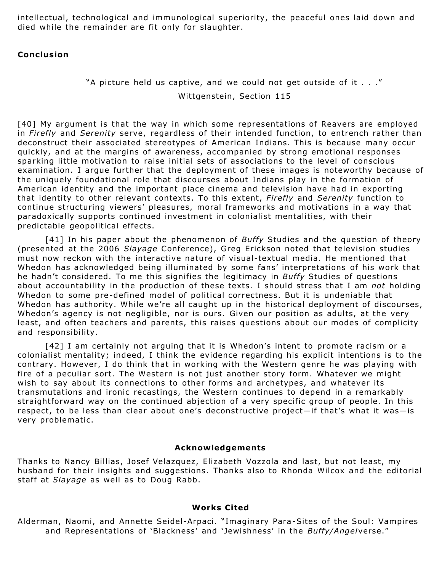intellectual, technological and immunological superiority, the peaceful ones laid down and died while the remainder are fit only for slaughter.

#### **Conclusion**

## "A picture held us captive, and we could not get outside of it . . ."

Wittgenstein, Section 115

[40] My argument is that the way in which some representations of Reavers are employed in *Firefly* and *Serenity* serve, regardless of their intended function, to entrench rather than deconstruct their associated stereotypes of American Indians. This is because many occur quickly, and at the margins of awareness, accompanied by strong emotional responses sparking little motivation to raise initial sets of associations to the level of conscious examination. I argue further that the deployment of these images is noteworthy because of the uniquely foundational role that discourses about Indians play in the formation of American identity and the important place cinema and television have had in exporting that identity to other relevant contexts. To this extent, *Firefly* and *Serenity* function to continue structuring viewers' pleasures, moral frameworks and motivations in a way that paradoxically supports continued investment in colonialist mentalities, with their predictable geopolitical effects.

[41] In his paper about the phenomenon of *Buffy* Studies and the question of theory (presented at the 2006 *Slayage* Conference), Greg Erickson noted that television studies must now reckon with the interactive nature of visual-textual media. He mentioned that Whedon has acknowledged being illuminated by some fans' interpretations of his work that he hadn't considered. To me this signifies the legitimacy in *Buffy* Studies of questions about accountability in the production of these texts. I should stress that I am *not* holding Whedon to some pre-defined model of political correctness. But it is undeniable that Whedon has authority. While we're all caught up in the historical deployment of discourses, Whedon's agency is not negligible, nor is ours. Given our position as adults, at the very least, and often teachers and parents, this raises questions about our modes of complicity and responsibility.

[42] I am certainly not arguing that it is Whedon's intent to promote racism or a colonialist mentality; indeed, I think the evidence regarding his explicit intentions is to the contrary. However, I do think that in working with the Western genre he was playing with fire of a peculiar sort. The Western is not just another story form. Whatever we might wish to say about its connections to other forms and archetypes, and whatever its transmutations and ironic recastings, the Western continues to depend in a remarkably straightforward way on the continued abjection of a very specific group of people. In this respect, to be less than clear about one's deconstructive project—if that's what it was—is very problematic.

#### **Acknowledgements**

Thanks to Nancy Billias, Josef Velazquez, Elizabeth Vozzola and last, but not least, my husband for their insights and suggestions. Thanks also to Rhonda Wilcox and the editorial staff at *Slayage* as well as to Doug Rabb.

#### **Works Cited**

Alderman, Naomi, and Annette Seidel-Arpaci. "Imaginary Para -Sites of the Soul: Vampires and Representations of 'Blackness' and 'Jewishness' in the *Buffy/Angel*verse."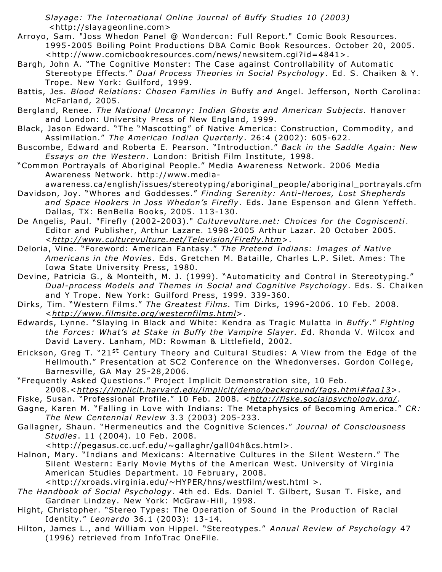*Slayage: The International Online Journal of Buffy Studies 10 (2003)* <http://slayageonline.com>

- Arroyo, Sam. "Joss Whedon Panel @ Wondercon: Full Report." Comic Book Resources. 1995-2005 Boiling Point Productions DBA Comic Book Resources. October 20, 2005. <http://www.comicbookresources.com/news/newsitem.cgi? id=4841>.
- Bargh, John A. "The Cognitive Monster: The Case against Controllability of Automatic Stereotype Effects." *Dual Process Theories in Social Psychology*. Ed. S. Chaiken & Y. Trope. New York: Guilford, 1999.
- Battis, Jes. *Blood Relations: Chosen Families in* Buffy *and* Angel. Jefferson, North Carolina: McFarland, 2005.
- Bergland, Renee. *The National Uncanny: Indian Ghosts and American Subjects.* Hanover and London: University Press of New England, 1999.
- Black, Jason Edward. "The "Mascotting" of Native America: Construction, Commodity, and Assimilation." *The American Indian Quarterly*. 26:4 (2002): 605-622.
- Buscombe, Edward and Roberta E. Pearson. "Introduction." *Back in the Saddle Again: New Essays on the Western*. London: British Film Institute, 1998.
- "Common Portrayals of Aboriginal People." Media Awareness Network. 2006 Media Awareness Network. http://www.media
	- awareness.ca/english/issues/stereotyping/aboriginal\_people/aboriginal\_portrayals.cfm
- Davidson, Joy. "Whores and Goddesses." *Finding Serenity: Anti-Heroes, Lost Shepherds and Space Hookers in Joss Whedon's Firefly*. Eds. Jane Espenson and Glenn Yeffeth. Dallas, TX: BenBella Books, 2005. 113-130.
- De Angelis, Paul. "Firefly (2002-2003)." *Culturevulture.net: Choices for the Cogniscenti*. Editor and Publisher, Arthur Lazare. 1998-2005 Arthur Lazar. 20 October 2005. <*<http://www.culturevulture.net/Television/Firefly.htm>*>.
- Deloria, Vine. "Foreword: American Fantasy." *The Pretend Indians: Images of Native Americans in the Movies*. Eds. Gretchen M. Bataille, Charles L.P. Silet. Ames: The Iowa State University Press, 1980.
- Devine, Patricia G., & Monteith, M. J. (1999). "Automaticity and Control in Stereotyping." *Dual-process Models and Themes in Social and Cognitive Psychology*. Eds. S. Chaiken and Y Trope. New York: Guilford Press, 1999. 339-360.
- Dirks, Tim. "Western Films." *The Greatest Films.* Tim Dirks, 1996-2006. 10 Feb. 2008. <*<http://www.filmsite.org/westernfilms.html>*>.
- Edwards, Lynne. "Slaying in Black and White: Kendra as Tragic Mulatta in *Buffy*." *Fighting the Forces: What's at Stake in Buffy the Vampire Slayer. E*d. Rhonda V. Wilcox and David Lavery. Lanham, MD: Rowman & Littlefield, 2002.
- Erickson, Greg T. "21<sup>st</sup> Century Theory and Cultural Studies: A View from the Edge of the Hellmouth." Presentation at SC2 Conference on the Whedonverses. Gordon College, Barnesville, GA May 25-28,2006.
- "Frequently Asked Questions." Project Implicit Demonstration site, 10 Feb. 2008.<*<https://implicit.harvard.edu/implicit/demo/background/faqs.html#faq13>*>.
- Fiske, Susan. "Professional Profile." 10 Feb. 2008. <*<http://fiske.socialpsychology.org/>* .
- Gagne, Karen M. "Falling in Love with Indians: The Metaphysics of Becoming America." *CR: The New Centennial Review* 3.3 (2003) 205-233.
- Gallagner, Shaun. "Hermeneutics and the Cognitive Sciences." *Journal of Consciousness Studies*. 11 (2004). 10 Feb. 2008.
	- <http://pegasus.cc.ucf.edu/~gallaghr/gall04h&cs.html>.
- Halnon, Mary. "Indians and Mexicans: Alternative Cultures in the Silent Western." The Silent Western: Early Movie Myths of the American West. University of Virginia American Studies Department. 10 February, 2008.

<http://xroads.virginia.edu/~HYPER/hns/westfilm/west.html >.

- *The Handbook of Social Psychology*. 4th ed. Eds. Daniel T. Gilbert, Susan T. Fiske, and Gardner Lindzey. New York: McGraw-Hill, 1998.
- Hight, Christopher. "Stereo Types: The Operation of Sound in the Production of Racial Identity." *Leonardo* 36.1 (2003): 13-14.
- Hilton, James L., and William von Hippel. "Stereotypes." *Annual Review of Psychology* 47 (1996) retrieved from InfoTrac OneFile.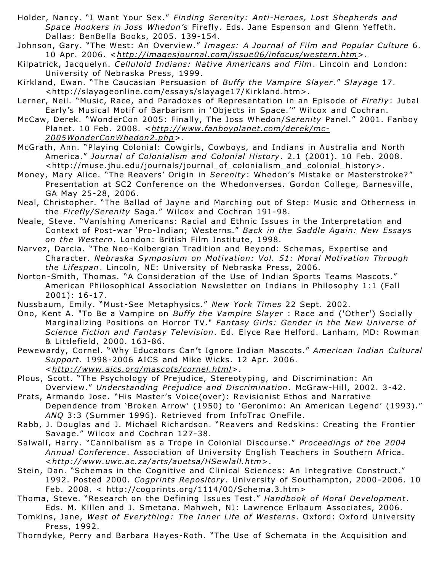- Holder, Nancy. "I Want Your Sex." *Finding Serenity: Anti-Heroes, Lost Shepherds and Space Hookers in Joss Whedon's* Firefly. Eds. Jane Espenson and Glenn Yeffeth. Dallas: BenBella Books, 2005. 139-154.
- Johnson, Gary. "The West: An Overview." *Images: A Journal of Film and Popular Culture* 6. 10 Apr. 2006. <*<http://imagesjournal.com/issue06/infocus/western.htm>*>.
- Kilpatrick, Jacquelyn. *Celluloid Indians: Native Americans and Film*. Lincoln and London: University of Nebraska Press, 1999.
- Kirkland, Ewan. "The Caucasian Persuasion of *Buffy the Vampire Slayer* ." *Slayage* 17. <http://slayageonline.com/essays/slayage17/Kirkland.htm>.
- Lerner, Neil. "Music, Race, and Paradoxes of Representation in an Episode of *Firefly*: Jubal Early's Musical Motif of Barbarism in 'Objects in Space.'" Wilcox and Cochran.
- McCaw, Derek. "WonderCon 2005: Finally, The Joss Whedon/*Serenity* Panel." 2001. Fanboy Planet. 10 Feb. 2008. <*[http://www.fanboyplanet.com/derek/mc-](http://www.fanboyplanet.com/derek/mc-2005WonderConWhedon2.php)2005WonderConWhedon2.php* >.
- McGrath, Ann. "Playing Colonial: Cowgirls, Cowboys, and Indians in Australia and North America." *Journal of Colonialism and Colonial History*. 2.1 (2001). 10 Feb. 2008. <http://muse.jhu.edu/journals/journal\_of\_colonialism\_and\_colonial\_history>.
- Money, Mary Alice. "The Reavers' Origin in *Serenity*: Whedon's Mistake or Masterstroke? " Presentation at SC2 Conference on the Whedonverses. Gordon College, Barnesville, GA May 25-28, 2006.
- Neal, Christopher. "The Ballad of Jayne and Marching out of Step: Music and Otherness in the *Firefly/Serenity* Saga." Wilcox and Cochran 191-98.
- Neale, Steve. "Vanishing Americans: Racial and Ethnic Issues in the Interpretation and Context of Post-war 'Pro-Indian; Westerns." *Back in the Saddle Again: New Essays on the Western*. London: British Film Institute, 1998.
- Narvez, Darcia. "The Neo-Kolbergian Tradition and Beyond: Schemas, Expertise and Character. *Nebraska Symposium on Motivation: Vol. 51: Moral Motivation Through the Lifespan*. Lincoln, NE: University of Nebraska Press, 2006.
- Norton-Smith, Thomas. "A Consideration of the Use of Indian Sports Teams Mascots." American Philosophical Association Newsletter on Indians in Philosophy 1:1 (Fall 2001): 16-17.
- Nussbaum, Emily. "Must -See Metaphysics." *New York Times* 22 Sept. 2002.
- Ono, Kent A. "To Be a Vampire on *Buffy the Vampire Slayer* : Race and ('Other') Socially Marginalizing Positions on Horror TV." *Fantasy Girls: Gender in the New Universe of Science Fiction and Fantasy Television*. Ed. Elyce Rae Helford. Lanham, MD: Rowman & Littlefield, 2000. 163-86.
- Pewewardy, Cornel. "Why Educators Can't Ignore Indian Mascots." *American Indian Cultural Support*. 1998-2006 AICS and Mike Wicks. 12 Apr. 2006. <*<http://www.aics.org/mascots/cornel.html>*>.
- Plous, Scott. "The Psychology of Prejudice, Stereotyping, and Discrimination: An Overview." *Understanding Prejudice and Discrimination*. McGraw-Hill, 2002. 3-42.
- Prats, Armando Jose. "His Master's Voice(over): Revisionist Ethos and Narrative Dependence from 'Broken Arrow' (1950) to 'Geronimo: An American Legend' (1993)." *ANQ* 3:3 (Summer 1996). Retrieved from InfoTrac OneFile.
- Rabb, J. Douglas and J. Michael Richardson. "Reavers and Redskins: Creating the Frontier Savage." Wilcox and Cochran 127-38.
- Salwall, Harry. "Cannibalism as a Trope in Colonial Discourse." *Proceedings of the 2004 Annual Conference*. Association of University English Teachers in Southern Africa. <*<http://www.uwc.ac.za/arts/auetsa/HSewlall.htm>*>.
- Stein, Dan. "Schemas in the Cognitive and Clinical Sciences: An Integrative Construct." 1992. Posted 2000. *Cogprints Repository*. University of Southampton, 2000-2006. 10 Feb. 2008. < http://cogprints.org/1114/00/Schema.3.htm>
- Thoma, Steve. "Research on the Defining Issues Test." *Handbook of Moral Development*. Eds. M. Killen and J. Smetana. Mahweh, NJ: Lawrence Erlbaum Associates, 2006.
- Tomkins, Jane, *West of Everything: The Inner Life of Westerns*. Oxford: Oxford University Press, 1992.
- Thorndyke, Perry and Barbara Hayes-Roth. "The Use of Schemata in the Acquisition and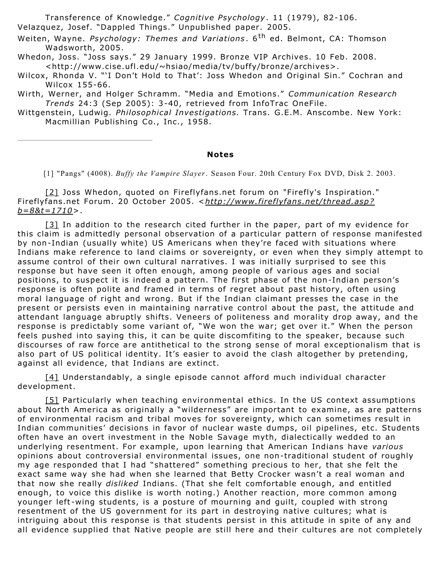Transference of Knowledge." *Cognitive Psychology*. 11 (1979), 82-106. Velazquez, Josef. "Dappled Things." Unpublished paper. 2005.

Weiten, Wayne. *Psychology: Themes and Variations* . 6th ed. Belmont, CA: Thomson Wadsworth, 2005.

Whedon, Joss. "Joss says." 29 January 1999. Bronze VIP Archives. 10 Feb. 2008. <http://www.cise.ufl.edu/~hsiao/media/tv/buffy/bronze/archives>.

Wilcox, Rhonda V. "'I Don't Hold to That': Joss Whedon and Original Sin." Cochran and Wilcox 155-66.

Wirth, Werner, and Holger Schramm. "Media and Emotions." *Communication Research Trends* 24:3 (Sep 2005): 3-40, retrieved from InfoTrac OneFile.

Wittgenstein, Ludwig. *Philosophical Investigations.* Trans. G.E.M. Anscombe. New York: Macmillian Publishing Co., Inc., 1958.

#### **Notes**

[1] "Pangs" (4008). *Buffy the Vampire Slayer*. Season Four. 20th Century Fox DVD, Disk 2. 2003.

[\[2\]](http://slayageonline.com/essays/slayage25/Curry.htm#_ednref2) Joss Whedon, quoted on Fireflyfans.net forum on "Firefly's Inspiration." Fireflyfans.net Forum. 20 October 2005. <*[http://www.fireflyfans.net/thread.asp?](http://www.fireflyfans.net/thread.asp?b=8&t=1710) b=8&t=1710*>.

[\[3\]](http://slayageonline.com/essays/slayage25/Curry.htm#_ednref3) In addition to the research cited further in the paper, part of my evidence for this claim is admittedly personal observation of a particular pattern of response manifested by non-Indian (usually white) US Americans when they're faced with situations where Indians make reference to land claims or sovereignty, or even when they simply attempt to assume control of their own cultural narratives. I was initially surprised to see this response but have seen it often enough, among people of various ages and social positions, to suspect it is indeed a pattern. The first phase of the non-Indian person's response is often polite and framed in terms of regret about past history, often using moral language of right and wrong. But if the Indian claimant presses the case in the present or persists even in maintaining narrative control about the past, the attitude and attendant language abruptly shifts. Veneers of politeness and morality drop away, and the response is predictably some variant of, "We won the war; get over it." When the person feels pushed into saying this, it can be quite discomfiting to the speaker, because such discourses of raw force are antithetical to the strong sense of moral exceptionalism that is also part of US political identity. It's easier to avoid the clash altogether by pretending, against all evidence, that Indians are extinct.

[\[4\]](http://slayageonline.com/essays/slayage25/Curry.htm#_ednref4) Understandably, a single episode cannot afford much individual character development.

[\[5\]](http://slayageonline.com/essays/slayage25/Curry.htm#_ednref5) Particularly when teaching environmental ethics. In the US context assumptions about North America as originally a "wilderness" are important to examine, as are patterns of environmental racism and tribal moves for sovereignty, which can sometimes result in Indian communities' decisions in favor of nuclear waste dumps, oil pipelines, etc. Students often have an overt investment in the Noble Savage myth, dialectically wedded to an underlying resentment. For example, upon learning that American Indians have *various* opinions about controversial environmental issues, one non-traditional student of roughly my age responded that I had "shattered" something precious to her, that she felt the exact same way she had when she learned that Betty Crocker wasn't a real woman and that now she really *disliked* Indians. (That she felt comfortable enough, and entitled enough, to voice this dislike is worth noting.) Another reaction, more common among younger left -wing students, is a posture of mourning and guilt, coupled with strong resentment of the US government for its part in destroying native cultures; what is intriguing about this response is that students persist in this attitude in spite of any and all evidence supplied that Native people are still here and their cultures are not completely